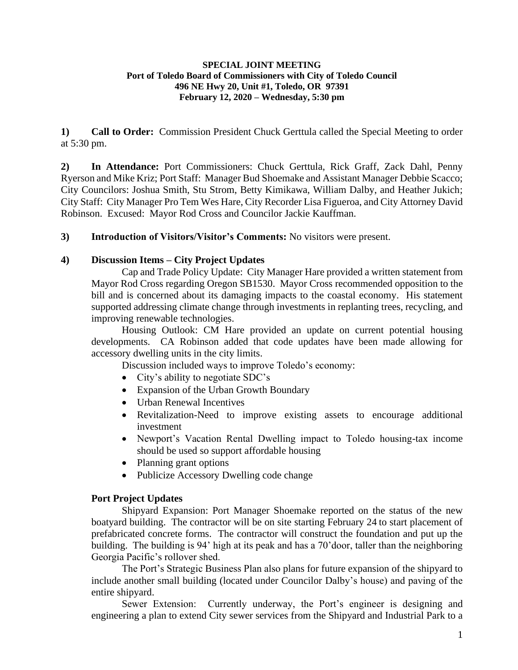## **SPECIAL JOINT MEETING Port of Toledo Board of Commissioners with City of Toledo Council 496 NE Hwy 20, Unit #1, Toledo, OR 97391 February 12, 2020 – Wednesday, 5:30 pm**

**1) Call to Order:** Commission President Chuck Gerttula called the Special Meeting to order at 5:30 pm.

**2) In Attendance:** Port Commissioners: Chuck Gerttula, Rick Graff, Zack Dahl, Penny Ryerson and Mike Kriz; Port Staff: Manager Bud Shoemake and Assistant Manager Debbie Scacco; City Councilors: Joshua Smith, Stu Strom, Betty Kimikawa, William Dalby, and Heather Jukich; City Staff: City Manager Pro Tem Wes Hare, City Recorder Lisa Figueroa, and City Attorney David Robinson. Excused: Mayor Rod Cross and Councilor Jackie Kauffman.

**3) Introduction of Visitors/Visitor's Comments:** No visitors were present.

## **4) Discussion Items – City Project Updates**

Cap and Trade Policy Update: City Manager Hare provided a written statement from Mayor Rod Cross regarding Oregon SB1530. Mayor Cross recommended opposition to the bill and is concerned about its damaging impacts to the coastal economy. His statement supported addressing climate change through investments in replanting trees, recycling, and improving renewable technologies.

Housing Outlook: CM Hare provided an update on current potential housing developments. CA Robinson added that code updates have been made allowing for accessory dwelling units in the city limits.

Discussion included ways to improve Toledo's economy:

- City's ability to negotiate SDC's
- Expansion of the Urban Growth Boundary
- Urban Renewal Incentives
- Revitalization-Need to improve existing assets to encourage additional investment
- Newport's Vacation Rental Dwelling impact to Toledo housing-tax income should be used so support affordable housing
- Planning grant options
- Publicize Accessory Dwelling code change

## **Port Project Updates**

Shipyard Expansion: Port Manager Shoemake reported on the status of the new boatyard building. The contractor will be on site starting February 24 to start placement of prefabricated concrete forms. The contractor will construct the foundation and put up the building. The building is 94' high at its peak and has a 70'door, taller than the neighboring Georgia Pacific's rollover shed.

The Port's Strategic Business Plan also plans for future expansion of the shipyard to include another small building (located under Councilor Dalby's house) and paving of the entire shipyard.

Sewer Extension: Currently underway, the Port's engineer is designing and engineering a plan to extend City sewer services from the Shipyard and Industrial Park to a